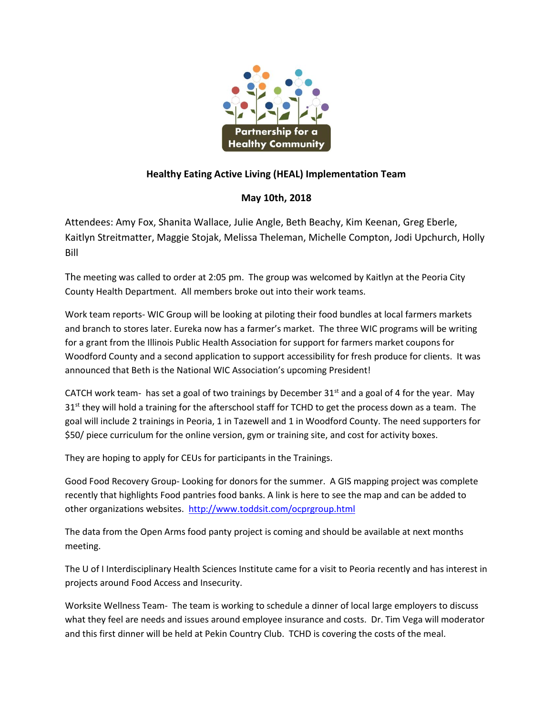

## **Healthy Eating Active Living (HEAL) Implementation Team**

## **May 10th, 2018**

Attendees: Amy Fox, Shanita Wallace, Julie Angle, Beth Beachy, Kim Keenan, Greg Eberle, Kaitlyn Streitmatter, Maggie Stojak, Melissa Theleman, Michelle Compton, Jodi Upchurch, Holly Bill

The meeting was called to order at 2:05 pm. The group was welcomed by Kaitlyn at the Peoria City County Health Department. All members broke out into their work teams.

Work team reports- WIC Group will be looking at piloting their food bundles at local farmers markets and branch to stores later. Eureka now has a farmer's market. The three WIC programs will be writing for a grant from the Illinois Public Health Association for support for farmers market coupons for Woodford County and a second application to support accessibility for fresh produce for clients. It was announced that Beth is the National WIC Association's upcoming President!

CATCH work team- has set a goal of two trainings by December  $31<sup>st</sup>$  and a goal of 4 for the year. May  $31<sup>st</sup>$  they will hold a training for the afterschool staff for TCHD to get the process down as a team. The goal will include 2 trainings in Peoria, 1 in Tazewell and 1 in Woodford County. The need supporters for \$50/ piece curriculum for the online version, gym or training site, and cost for activity boxes.

They are hoping to apply for CEUs for participants in the Trainings.

Good Food Recovery Group- Looking for donors for the summer. A GIS mapping project was complete recently that highlights Food pantries food banks. A link is here to see the map and can be added to other organizations websites. <http://www.toddsit.com/ocprgroup.html>

The data from the Open Arms food panty project is coming and should be available at next months meeting.

The U of I Interdisciplinary Health Sciences Institute came for a visit to Peoria recently and has interest in projects around Food Access and Insecurity.

Worksite Wellness Team- The team is working to schedule a dinner of local large employers to discuss what they feel are needs and issues around employee insurance and costs. Dr. Tim Vega will moderator and this first dinner will be held at Pekin Country Club. TCHD is covering the costs of the meal.